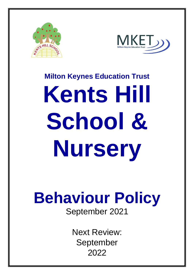



# **Milton Keynes Education Trust Kents Hill School & Nursery**

# **Behaviour Policy**

September 2021

Next Review: September 2022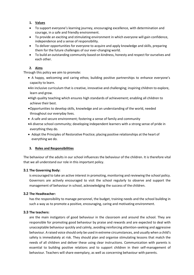### **1. Values**

- To support everyone's learning journey, encouraging excellence, with determination and courage, in a safe and friendly environment.
- To provide an exciting and stimulating environment in which everyone will gain confidence, independence and a sense of responsibility.
- To deliver opportunities for everyone to acquire and apply knowledge and skills, preparing them for the future challenges of our ever-changing world.
- To build an outstanding community based on kindness, honesty and respect for ourselves and each other.

### **2. Aims**

Through this policy we aim to promote:

- A happy, welcoming and caring ethos; building positive partnerships to enhance everyone's capacity to learn.
- An inclusive curriculum that is creative, innovative and challenging; inspiring children to explore, learn and grow.
- High quality teaching which ensures high standards of achievement; enabling all children to achieve their best.
- Opportunities to develop skills, knowledge and an understanding of the world, needed throughout our everyday lives.
- A safe and secure environment; fostering a sense of family and community
- A diverse school community; developing independent learners with a strong sense of pride in everything they do.
- Adopt the Principles of Restorative Practice; placing positive relationships at the heart of everything we do.

### **3. Roles and Responsibilities**

The behaviour of the adults in our school influences the behaviour of the children. It is therefore vital that we all understand our role in this important policy.

### **3.1 The Governing Body:**

is encouraged to take an active interest in promoting, monitoring and reviewing the school policy. Governors are actively encouraged to visit the school regularly to observe and support the management of behaviour in school, acknowledging the success of the children.

### **3.2 The Headteacher:**

has the responsibility to manage personnel, the budget, training needs and the school building in such a way as to promote a positive, encouraging, caring and motivating environment.

### **3.3 The teachers:**

are the main instigators of good behaviour in the classroom and around the school. They are responsible for promoting good behaviour by praise and rewards and are expected to deal with unacceptable behaviour quickly and calmly, avoiding reinforcing attention-seeking and aggressive behaviour. A raised voice should only be used in extreme circumstances, and usually when a child's safety is immediately at risk. They should plan and organise stimulating lessons that match the needs of all children and deliver these using clear instructions. Communication with parents is essential to building positive relations and to support children in their self-management of behaviour. Teachers will share exemplary, as well as concerning behaviour with parents.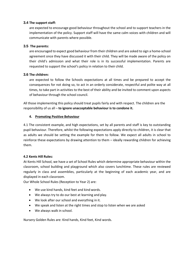### **3.4 The support staff:**

are expected to encourage good behaviour throughout the school and to support teachers in the implementation of the policy. Support staff will have the same calm voices with children and will communicate with parents where possible.

### **3.5 The parents:**

are encouraged to expect good behaviour from their children and are asked to sign a home-school agreement once they have discussed it with their child. They will be made aware of the policy on their child's admission and what their role is in its successful implementation. Parents are requested to support the school's policy in relation to their child.

### **3.6 The children:**

are expected to follow the Schools expectations at all times and be prepared to accept the consequences for not doing so, to act in an orderly considerate, respectful and polite way at all times, to take part in activities to the best of their ability and be invited to comment upon aspects of behaviour through the school council.

All those implementing this policy should treat pupils fairly and with respect. The children are the responsibility of us all – **to ignore unacceptable behaviour is to condone it.**

### **4. Promoting Positive Behaviour**

4.1 The consistent example, and high expectations, set by all parents and staff is key to outstanding pupil behaviour. Therefore, whilst the following expectations apply directly to children, it is clear that as adults we should be setting the example for them to follow. We expect all adults in school to reinforce these expectations by drawing attention to them – ideally rewarding children for achieving them.

### **4.2 Kents Hill Rules:**

At Kents Hill School, we have a set of School Rules which determine appropriate behaviour within the classroom, school building and playground which also covers lunchtime. These rules are reviewed regularly in class and assemblies, particularly at the beginning of each academic year, and are displayed in each classroom.

Our Whole School Rules (Reception to Year 2) are:

- We use kind hands, kind feet and kind words.
- We always try to do our best at learning and play.
- We look after our school and everything in it.
- We speak and listen at the right times and stop to listen when we are asked
- We always walk in school.

Nursery Golden Rules are: Kind hands, Kind feet, Kind words.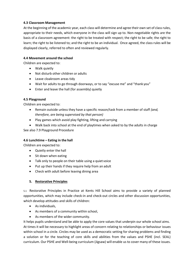### **4.3 Classroom Management**

At the beginning of the academic year, each class will determine and agree their own set of class rules, appropriate to their needs, which everyone in the class will sign up to. Non-negotiable rights are the basis of a classroom agreement: the right to be treated with respect; the right to be safe; the right to learn; the right to be listened to; and the right to be an individual. Once agreed, the class rules will be displayed clearly, referred to often and reviewed regularly.

### **4.4 Movement around the school**

Children are expected to:

- Walk quietly
- Not disturb other children or adults
- Leave cloakroom areas tidy
- Wait for adults to go through doorways, or to say "excuse me" and "thank you"
- Enter and leave the hall (for assembly) quietly

### **4.5 Playground**

Children are expected to:

- Remain outside unless they have a specific reason/task from a member of staff *(and, therefore, are being supervised by that person)*
- Play games which avoid play fighting, lifting and carrying
- Walk back into school at the end of playtimes when asked to by the adults in charge

See also 7.9 Playground Procedure

### **4.6 Lunchtime – Eating in the hall**

Children are expected to:

- Quietly enter the hall
- Sit down when eating
- Talk only to people on their table using a quiet voice
- Put up their hands if they require help from an adult
- Check with adult before leaving dining area

### **5. Restorative Principles**

5.1 Restorative Principles in Practice at Kents Hill School aims to provide a variety of planned opportunities, which may include check-in and check-out circles and other discussion opportunities, which develop attitudes and skills of children:

- As individuals,
- As members of a community within school,
- As members of the wider community.

It helps pupils understand and be able to apply the core values that underpin our whole school aims. At times it will be necessary to highlight areas of concern relating to relationships or behaviour issues within school in a circle. Circles may be used as a democratic setting for sharing problems and finding a solution or for the teaching of core skills and abilities from the values and PSHE (incl. SEAL) curriculum. Our PSHE and Well-being curriculum (Jigsaw) will enable us to cover many of these issues.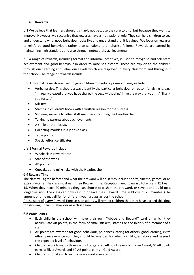### **6. Rewards**

6.1We believe that learners should try hard, not because they are told to, but because they want to improve. However, we recognise that rewards have a motivational role. They can help children to see and understand what good behaviour looks like and understand that it is valued. We focus on rewards to reinforce good behaviour, rather than sanctions to emphasise failures. Rewards are earned by maintaining high standards and also through noteworthy achievements.

6.2 A range of rewards, including formal and informal incentives, is used to recognise and celebrate achievement and good behaviour in order to raise self-esteem. These are explicit to the children through our Learning and Behaviour Levels which are displayed in every classroom and throughout the school. The range of rewards include:

6.2.1Informal Rewards are used to give children immediate praise and may include:

- Verbal praise. This should always identify the particular behaviour or reason for giving it, e.g. 'I'm really pleased that you have shared the Lego with John.' 'I like the way that you......' 'Thank you for ……'
- Stickers.
- Stamps in children's books with a written reason for the success.
- Showing learning to other staff members, including the Headteacher.
- Talking to parents about achievements.
- A smile or thumbs up.
- Collecting marbles in a jar as a class.
- Table points.
- Special effort certificates

6.3.1Formal Rewards include:

- Whole class reward time
- Star of the week
- AB points
- Cupcakes and milkshake with the Headteacher

### **6.4Reward Time**

The class will agree beforehand what their reward will be. It may include sports, cinema, games, or an extra playtime. The class must earn their Reward Time. Reception need to earn 5 tokens and KS1 earn 15. When they reach 20 minutes they can choose to cash in their reward, or save it and build up a longer session. The class can only cash in or save their Reward Time in blocks of 20 minutes. (The amount of time may differ for different year groups across the school.)

At the start of every Reward Time session adults will remind children that they have earned this time for showing Brilliant Behaviour as a class team.

### **6.5Wow Points**

- Each child in the school will have their own \*Above and Beyond\* card on which they accumulate AB points, in the form of small stickers, stamps or the initials of a member of a staff.
- AB points are awarded for good behaviour, politeness, caring for others, good learning, extra effort, perseverance etc. They should be awarded for when a child goes 'above and beyond' the expected level of behaviour.
- Children work towards three distinct targets: 20 AB points earns a Bronze Award, 40 AB points earns a Silver Award, and 60 AB points earns a Gold Award.
- Children should aim to earn a new award every term.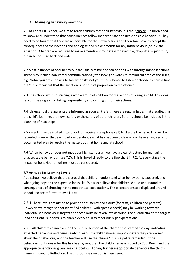### **7. Managing Behaviour/Sanctions**

7.1 At Kents Hill School, we aim to teach children that their behaviour is their choice. Children need to know and understand that consequences follow inappropriate and irresponsible behaviour. They need to be taught that they are responsible for their own actions and therefore have to accept the consequences of their actions and apologise and make amends for any misbehaviour (or 'fix' the situation). Children are required to make amends appropriately for example; drop litter – pick it up; run in school – go back and walk.

7.2 Most instances of poor behaviour are usually minor and can be dealt with through minor sanctions. These may include non-verbal communications ("the look") or words to remind children of the rules, e.g. "John, you are choosing to talk when it's not your turn. Choose to listen or choose to have a time out." It is important that the sanction is not out of proportion to the offence.

7.3 The school avoids punishing a whole group of children for the actions of a single child. This does rely on the single child taking responsibility and owning up to their actions.

7.4 It is essential that parents are informed as soon as it is felt there are regular issues that are affecting the child's learning, their own safety or the safety of other children. Parents should be included in the planning of next steps.

7.5 Parents may be invited into school (or receive a telephone call) to discuss the issue. This will be recorded in order that each party understands what has happened clearly, and have an agreed and documented plan to resolve the matter, both at home and at school.

7.6 When behaviour does not meet our high standards, we have a clear structure for managing unacceptable behaviour (see 7.7). This is linked directly to the flowchart in 7.2. At every stage the impact of behaviour on others must be considered.

### **7.7 Attitude for Learning Levels**

As a school, we believe that it is crucial that children understand what behaviour is expected, and what going beyond the expected looks like. We also believe that children should understand the consequences of choosing not to meet these expectations. The expectations are displayed around school and are referred to by all staff.

7.7.1 These levels are aimed to provide consistency and clarity (for staff, children and parents). However, we recognise that identified children (with specific needs) may be working towards individualised behaviour targets and these must be taken into account. The overall aim of the targets (and additional support) is to enable every child to meet our high expectations.

7.7.2 All children's names are on the middle section of the chart at the start of the day; indicating expected behaviour and being ready to learn. If a child behaves inappropriately they are warned about their behaviour, and the teacher will use the phrase 'This is a polite reminder'. If the behaviour continues after this has been given, then the child's name is moved to Cool Down and the appropriate sanction is given (see chart below). For any further inappropriate behaviour the child's name is moved to Reflection. The appropriate sanction is then issued.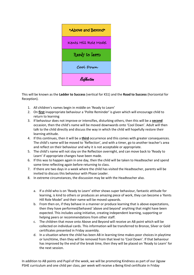

This will be known as the **Ladder to Success** (vertical for KS1) and the **Road to Success** (horizontal for Reception).

- 1. All children's names begin in middle on 'Ready to Learn'
- 2. On **first** inappropriate behaviour a 'Polite Reminder' is given which will encourage child to return to learning
- 3. If behaviour does not improve or intensifies, disturbing others, then this will be a **second** occasion, then the child's name will be moved downwards onto 'Cool Down'. Adult will then talk to the child directly and discuss the way in which the child will hopefully restore their learning attitude.
- 4. If this continues, then it will be a **third** occurrence and this comes with greater consequences. The child's name will be moved to 'Reflection', and with a timer, go to another teacher's area and reflect on their behaviour and why it is not acceptable or appropriate.
- 5. The child's name will not stay on the Reflection overnight, and can move back to 'Ready to Learn' if appropriate changes have been made.
- 6. If this was to happen again in one day, then the child will be taken to Headteacher and spend some time reflecting again before returning to class.
- 7. If there are two days in a week where the child has visited the Headteacher, parents will be invited to discuss this behaviour with Phase Leader.
- 8. In extreme circumstances, the discussion may be with the Headteacher also.
	- a. If a child who is on 'Ready to Learn' either shows super behaviour, fantastic attitude for learning, is kind to others or produces an amazing piece of work, they can become a 'Kents Hill Role Model' and their name will be moved upwards.
	- b. From then on, if they behave in a manner or produce learning that is above expectations, then they have performed/behaved 'above and beyond' anything that might have been expected. This includes using initiative, creating independent learning, supporting or helping peers or recommendations from other staff.
	- c. The children that move onto Above and Beyond will receive an AB point which will be collected on individual cards. This information will be transferred to Bronze, Silver or Gold certificates presented in Friday assembly.
	- d. In a situation where the child has been AB in learning time makes poor choices in playtime or lunchtime, then they will be removed from that level to 'Cool Down'. If that behaviour has improved by the end of the break time, then they will be placed on 'Ready to Learn' for the next session.

In addition to AB points and Pupil of the week, we will be promoting Kindness as part of our Jigsaw PSHE curriculum and one child per class, per week will receive a Being Kind certificate in Friday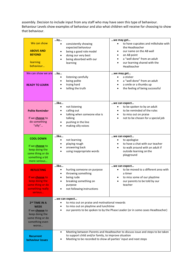assembly. Decision to include input from any staff who may have seen this type of behaviour. Behaviour Levels show examples of behaviour and also what children will receive for choosing to show that behaviour.

| We can show<br><b>ABOVE AND</b><br><b>BEYOND</b><br>learning<br>behaviour<br>We can show we are<br><b>READY TO LEARN</b>            | by<br>consistently showing<br>expected behaviour<br>being a good role model<br>doing our very best<br>being absorbed with our<br>$\bullet$<br>learning<br>by<br>listening carefully<br>being polite<br>$\bullet$<br>trying hard<br>telling the truth<br>$\bullet$ | we may get<br>to have cupcakes and milkshake with<br>the Headteacher<br>our name on the AB wall<br>an AB point<br>$\bullet$<br>a "well done" from an adult<br>our learning shared with the<br>$\bullet$<br>Headteacher<br>we may get<br>a sticker<br>a "well done" from an adult<br>a smile or a thumbs up<br>$\bullet$<br>the feeling of being successful<br>$\bullet$ |
|-------------------------------------------------------------------------------------------------------------------------------------|-------------------------------------------------------------------------------------------------------------------------------------------------------------------------------------------------------------------------------------------------------------------|-------------------------------------------------------------------------------------------------------------------------------------------------------------------------------------------------------------------------------------------------------------------------------------------------------------------------------------------------------------------------|
| <b>Polite Reminder</b><br>If we <b>choose</b> to<br>do something<br>"silly"                                                         | like<br>not listening<br>$\bullet$<br>calling out<br>٠<br>talking when someone else is<br>talking<br>pushing in the line<br>making silly voices<br>$\bullet$                                                                                                      | we can expect<br>to be spoken to by an adult<br>to be reminded of the rules<br>to miss out on praise<br>not to be chosen for a special job                                                                                                                                                                                                                              |
| <b>COOL DOWN</b><br>If we <b>choose</b> to<br>keep doing the<br>same thing or do<br>something a bit<br>more serious                 | like<br>not learning<br>$\bullet$<br>playing rough<br>answering back<br>using inappropriate words<br>$\bullet$                                                                                                                                                    | we can expect<br>to apologise<br>to have a chat with our teacher<br>to walk around with an adult if<br>outside learning on the<br>playground                                                                                                                                                                                                                            |
| <b>REFLECTING</b><br>If we choose to<br>keep doing the<br>same thing or do<br>something really<br>serious                           | like<br>hurting someone on purpose<br>$\bullet$<br>throwing something<br>being rude<br>breaking something on<br>$\bullet$<br>purpose<br>not following instructions                                                                                                | we can expect<br>to be moved to a different area with<br>a timer<br>to miss some of our playtime<br>our parents to be told by our<br>teacher                                                                                                                                                                                                                            |
| 2 <sup>nd</sup> TIME IN A<br><b>WEEK</b><br>If we <b>choose</b> to<br>keep doing the<br>same thing or do<br>something even<br>worse | we can expect<br>to miss out on praise and motivational rewards<br>to miss out on playtime and lunchtime<br>our parents to be spoken to by the Phase Leader (or in some cases Headteacher)                                                                        |                                                                                                                                                                                                                                                                                                                                                                         |
| <b>Recurrent</b><br>behaviour issues                                                                                                | Meeting between Parents and Headteacher to discuss issue and steps to be taken<br>$\bullet$<br>to support child and/or family, to improve situation<br>Meeting to be recorded to show all parties' input and next steps                                           |                                                                                                                                                                                                                                                                                                                                                                         |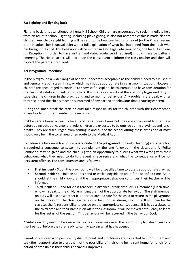### **7.8 Fighting and fighting back**

Fighting back is not sanctioned at Kents Hill School. Children are encouraged to seek immediate help from an adult in school. Fighting, including play-fighting, is also not acceptable; this is made clear to children. Any child caught fighting will be sent to the Headteacher for time out (or the Phase Leaders if the Headteacher is unavailable) with a full explanation of what has happened from the adult who has brought the child. This behaviour will be written in Key Stage Behaviour book, one for KS1 and one for Reception, in order to have written and dated evidence (if required) should there be patterns emerging. The Headteacher will decide on the consequence, inform the class teacher and then will contact the parents if required.

### **7.9 Playground Procedure**

In the playground a wider range of behaviour becomes acceptable as the children need to run, shout and generally let off steam in a way which may not be appropriate in a classroom situation. However, children are encouraged to continue to show self-discipline, be courteous, and have consideration for the personal safety and feelings of others. It is the responsibility of the staff on playground duty to supervise the children in the playground and to monitor behaviour. Any problems are dealt with as they occur and the child's teacher is informed of any particular behaviour that is causing concern.

During the lunch break the staff on duty take responsibility for the children with the Headteacher, Phase Leader or other member of team on call.

Children are allowed access to toilet facilities at break times but they are encouraged to use these before going outside. As a general rule, children are expected to be outside during playtimes and lunch breaks. They are discouraged from coming in and out of the school during these times and at most should only be in the toilet area or en route to the Medical Room.

If children are becoming too boisterous **outside on the playground** (but not in learning) and a sanction is required a consequence system to complement the one followed in the classroom. A 'Polite Reminder' may be given and the child is given an opportunity to discuss what was wrong with their behaviour, what they need to do to prevent a recurrence and what the consequence will be for persistent offence. The consequences are as follows:

- First incident Sit on the playground wall for a specified time to observe appropriate playing.
- **Second incident** Hold an adult's hand or walk alongside an adult for a specified time. Adult should let the child know that, if the inappropriate behaviour continues, their teacher will be informed
- **Third incident** Send for class teacher's assistance (break time) or SLT member (lunch time) who will speak to the child, reminding them of the appropriate behaviour. The staff member on duty will decide whether it is appropriate and safe for the child to return to the playground on that occasion. The class teacher should be informed during lunchtime. It will then be the class teacher's responsibility to decide on the appropriate consequence. If it has escalated to the third time and their name is on AB in the classroom, it will be moved onto Ready to learn for the restart of the session. This behaviour will be recorded in the Behaviour Book.

\*\*Adults on duty need to be aware that some children may need the opportunity to calm down for a short period, before they are ready to calmly explain what has happened.

Parents of children who persistently disrupt break and lunchtimes are contacted to inform them and seek their support; also to alert them of the possibility of their child being sent home for lunch for a period of time unless their child's behaviour improves.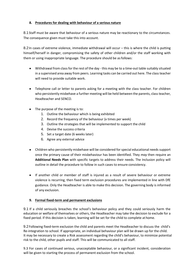### **8. Procedures for dealing with behaviour of a serious nature**

8.1Staff must be aware that behaviour of a serious nature may be reactionary to the circumstances. The consequence given must take this into account.

8.2 In cases of extreme violence, immediate withdrawal will occur – this is where the child is putting himself/herself in danger, compromising the safety of other children and/or the staff working with them or using inappropriate language. The procedure should be asfollows:

- Withdrawal from classfor the rest of the day this may be to a time-out table suitably situated in a supervised area away from peers. Learning tasks can be carried out here. The classteacher will need to provide suitable work.
- Telephone call or letter to parents asking for a meeting with the class teacher. For children who persistently misbehave a further meeting will be held between the parents, class teacher, Headteacher and SENCO.
- The purpose of the meeting is to:
	- 1. Outline the behaviour which is being exhibited
	- 2. Record the frequency of the behaviour (x times per week)
	- 3. Outline the strategies that will be implemented to support the child
	- 4. Devise the success criteria
	- 5. Set a target date (6 weeks later)
	- 6. Agree any external advice
- Children who persistently misbehave will be considered forspecial educational needs support once the primary cause of their misbehaviour has been identified. They *may* then require an **Additional Needs Plan** with specific targets to address their needs. The Inclusion policy will outline in detail the procedure to follow in such cases to ensure consistency.
- If another child or member of staff is injured as a result of severe behaviour or extreme violence is recurring, then fixed term exclusion procedures are implemented in line with DfE guidance. Only the Headteacher is able to make this decision. The governing body is informed of any exclusion.

# **9. Formal fixed-term and permanent exclusions**

9.1 If a child seriously breaches the school's behaviour policy and they could seriously harm the education or welfare of themselves or others, the Headteacher may take the decision to exclude for a fixed period. If this decision is taken, learning will be set for the child to complete at home.

9.2 Following fixed-term exclusion the child and parents meet the Headteacher to discuss the child's Re-integration to school. If appropriate, an individual behaviour plan will be drawn up for the child. It may be necessary to create a Risk assessment regarding the child's behaviour, to minimize potential risk to the child, other pupils and staff. This will be communicated to all staff.

9.3 For cases of continued serious, unacceptable behaviour, or a significant incident, consideration will be given to starting the process of permanent exclusion from the school.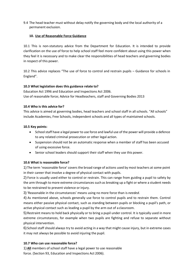9.4 The head teacher must without delay notify the governing body and the local authority of a permanent exclusion.

### **10. Use of Reasonable Force Guidance**

10.1 This is non-statutory advice from the Department for Education. It is intended to provide clarification on the use of force to help school staff feel more confident about using this power when they feel it is necessary and to make clear the responsibilities of head teachers and governing bodies in respect of this power.

10.2 This advice replaces "The use of force to control and restrain pupils – Guidance for schools in England".

### **10.3 What legislation does this guidance relate to?**

Education Act 1996 and Education and Inspections Act 2006. Use of reasonable force; Advice for Headteachers, staff and Governing Bodies 2013

### **10.4 Who is this advice for?**

This advice is aimed at governing bodies, head teachers and school staff in all schools. "All schools" include Academies, Free Schools, independent schools and all types of maintained schools.

### **10.5 Key points:**

- School staff have a legal power to use force and lawful use of the power will provide a defence to any related criminal prosecution or other legal action.
- Suspension should not be an automatic response when a member of staff has been accused of using excessive force.
- Senior school leaders should support their staff when they use this power.

### **10.6 What is reasonable force?**

1) The term 'reasonable force' covers the broad range of actions used by most teachers at some point in their career that involve a degree of physical contact with pupils.

2) Force is usually used either to control or restrain. This can range from guiding a pupil to safety by the arm through to more extreme circumstances such as breaking up a fight or where a student needs to be restrained to prevent violence or injury.

3) 'Reasonable in the circumstances' means using no more force than is *needed*.

4) As mentioned above, schools generally use force to control pupils and to restrain them. Control means either passive physical contact, such as standing between pupils or blocking a pupil's path, or active physical contact such as leading a pupil by the arm out of a classroom.

5)Restraint means to hold back physically or to bring a pupil under control. It is typically used in more extreme circumstances, for example when two pupils are fighting and refuse to separate without physical intervention.

6) School staff should always try to avoid acting in a way that might cause injury, but in extreme cases it may not always be possible to avoid injuring the pupil.

# **10.7 Who can use reasonable force?**

1) **All** members of school staff have a legal power to use reasonable force. (Section 93, Education and Inspections Act 2006).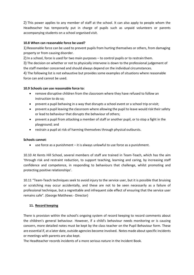2) This power applies to any member of staff at the school. It can also apply to people whom the Headteacher has temporarily put in charge of pupils such as unpaid volunteers or parents accompanying students on a school organised visit.

### **10.8 When can reasonable force be used?**

1) Reasonable force can be used to prevent pupils from hurting themselves or others, from damaging property or from causing disorder.

2) In a school, force is used for two main purposes – to control pupils or to restrain them.

3) The decision on whether or not to physically intervene is down to the professional judgement of the staff member concerned and should always depend on the individual circumstances.

4) The following list is not exhaustive but provides some examples of situations where reasonable force can and cannot be used.

### **10.9 Schools can use reasonable force to:**

- remove disruptive children from the classroom where they have refused to follow an instruction to do so;
- prevent a pupil behaving in a way that disrupts a school event or a school trip or visit;
- prevent a pupil leaving the classroom where allowing the pupil to leave would risk their safety or lead to behaviour that disrupts the behaviour of others;
- prevent a pupil from attacking a member of staff or another pupil, or to stop a fight in the playground; and
- restrain a pupil at risk of harming themselves through physical outbursts.

### **Schools cannot**:

use force as a punishment – it is always unlawful to use force as a punishment.

10.10 At Kents Hill School, several members of staff are trained in Team-Teach, which has the aim 'through risk and restraint reduction, to support teaching, learning and caring, by increasing staff confidence and competence, in responding to behaviours that challenge, whilst promoting and protecting positive relationships'.

10.11 "Team-Teach techniques seek to avoid injury to the service user, but it is possible that bruising or scratching may occur accidentally, and these are not to be seen necessarily as a failure of professional technique, but a regrettable and infrequent side effect of ensuring that the service user remains safe". (George Matthews - Director)

### **11. Record keeping**

There is provision within the school's ongoing system of record keeping to record comments about the children's general behaviour. However, if a child's behaviour needs monitoring or is causing concern, more detailed notes must be kept by the class teacher on the Pupil Behaviour form. These are essential if, at a later date, outside agencies become involved. Notesmade aboutspecific incidents or meetings with parents are also kept.

The Headteacher records incidents of a more serious nature in the Incident Book.